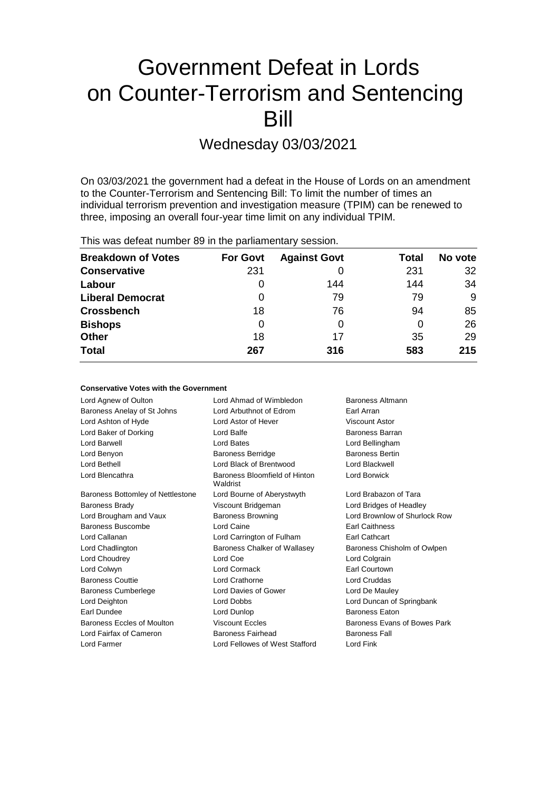# Government Defeat in Lords on Counter-Terrorism and Sentencing Bill

Wednesday 03/03/2021

On 03/03/2021 the government had a defeat in the House of Lords on an amendment to the Counter-Terrorism and Sentencing Bill: To limit the number of times an individual terrorism prevention and investigation measure (TPIM) can be renewed to three, imposing an overall four-year time limit on any individual TPIM.

This was defeat number 89 in the parliamentary session.

| <b>Breakdown of Votes</b> | <b>For Govt</b> | <b>Against Govt</b> | Total | No vote |
|---------------------------|-----------------|---------------------|-------|---------|
| <b>Conservative</b>       | 231             |                     | 231   | 32      |
| Labour                    | 0               | 144                 | 144   | 34      |
| <b>Liberal Democrat</b>   | 0               | 79                  | 79    | 9       |
| <b>Crossbench</b>         | 18              | 76                  | 94    | 85      |
| <b>Bishops</b>            | 0               | 0                   | 0     | 26      |
| <b>Other</b>              | 18              | 17                  | 35    | 29      |
| <b>Total</b>              | 267             | 316                 | 583   | 215     |

## **Conservative Votes with the Government**

| Lord Ahmad of Wimbledon                                     | Baroness Altmann              |  |
|-------------------------------------------------------------|-------------------------------|--|
| Lord Arbuthnot of Edrom                                     | Earl Arran                    |  |
| Lord Astor of Hever                                         | Viscount Astor                |  |
| Lord Balfe                                                  | Baroness Barran               |  |
| Lord Bates                                                  | Lord Bellingham               |  |
| <b>Baroness Berridge</b><br><b>Baroness Bertin</b>          |                               |  |
| Lord Black of Brentwood<br>Lord Blackwell                   |                               |  |
| Baroness Bloomfield of Hinton<br>Waldrist                   | Lord Borwick                  |  |
| Lord Bourne of Aberystwyth                                  | Lord Brabazon of Tara         |  |
| Viscount Bridgeman                                          | Lord Bridges of Headley       |  |
| <b>Baroness Browning</b>                                    | Lord Brownlow of Shurlock Row |  |
| Lord Caine                                                  | <b>Earl Caithness</b>         |  |
| Lord Carrington of Fulham                                   | <b>Earl Cathcart</b>          |  |
| Baroness Chalker of Wallasey<br>Baroness Chisholm of Owlpen |                               |  |
| Lord Coe<br>Lord Colgrain                                   |                               |  |
| Lord Cormack                                                | Earl Courtown                 |  |
| <b>Lord Cruddas</b><br>Lord Crathorne                       |                               |  |
| Lord Davies of Gower<br>Lord De Mauley                      |                               |  |
| <b>Lord Dobbs</b><br>Lord Duncan of Springbank              |                               |  |
| Lord Dunlop                                                 | <b>Baroness Eaton</b>         |  |
| <b>Viscount Eccles</b><br>Baroness Evans of Bowes Park      |                               |  |
| <b>Baroness Fairhead</b><br><b>Baroness Fall</b>            |                               |  |
| Lord Fellowes of West Stafford<br>Lord Fink                 |                               |  |
|                                                             |                               |  |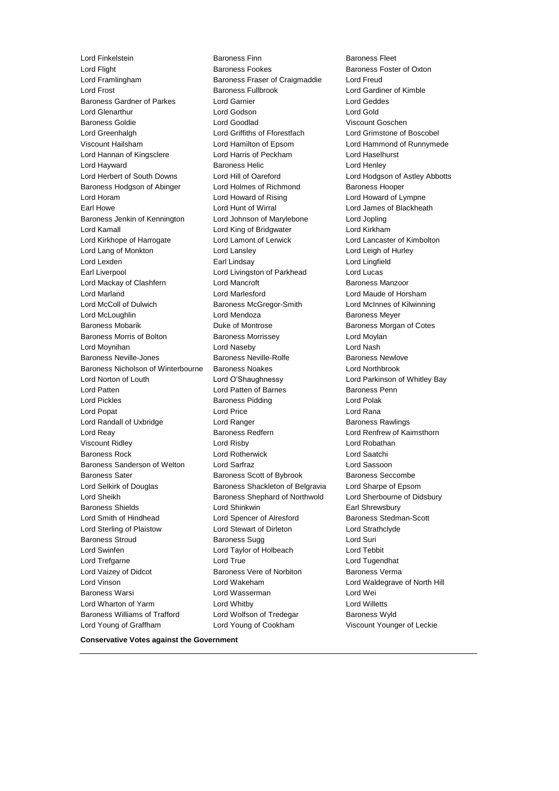Lord Flight **Baroness Fookes** Baroness Fookes Baroness Foster of Oxton Lord Framlingham Baroness Fraser of Craigmaddie Lord Freud Lord Frost Baroness Fullbrook Lord Gardiner of Kimble Baroness Gardner of Parkes Lord Garnier Lord Geddes Lord Glenarthur Lord Godson Lord Gold Baroness Goldie Lord Goodlad Viscount Goschen Lord Greenhalgh Lord Griffiths of Fforestfach Lord Grimstone of Boscobel Viscount Hailsham Lord Hamilton of Epsom Lord Hammond of Runnymede Lord Hannan of Kingsclere Lord Harris of Peckham Lord Haselhurst Lord Hayward **Baroness Helic** Lord Henley **Constant Lord Henley** Lord Herbert of South Downs Lord Hill of Oareford Lord Hodgson of Astley Abbotts Baroness Hodgson of Abinger Lord Holmes of Richmond Baroness Hooper Lord Horam Lord Howard of Rising Lord Howard of Lympne Earl Howe Lord Hunt of Wirral Lord James of Blackheath Baroness Jenkin of Kennington Lord Johnson of Marylebone Lord Jopling Lord Kamall Lord King of Bridgwater Lord Kirkham Lord Kirkhope of Harrogate Lord Lamont of Lerwick Lord Lancaster of Kimbolton Lord Lang of Monkton Lord Lansley Lord Leigh of Hurley Lord Lexden Earl Lindsay Lord Lingfield Earl Liverpool Lord Livingston of Parkhead Lord Lucas Lord Mackay of Clashfern **Lord Mancroft** Baroness Manzoor Lord Marland Lord Marlesford Lord Maude of Horsham Lord McColl of Dulwich Baroness McGregor-Smith Lord McInnes of Kilwinning Lord McLoughlin **Lord Mendoza Baroness Meyer** Baroness Mobarik Duke of Montrose Baroness Morgan of Cotes Baroness Morris of Bolton **Baroness Morrissey Lord Moylan** Lord Moynihan Lord Naseby Lord Nash Baroness Neville-Jones **Baroness Neville-Rolfe** Baroness Newlove Baroness Nicholson of Winterbourne Baroness Noakes Lord Northbrook Lord Norton of Louth Lord O'Shaughnessy Lord Parkinson of Whitley Bay Lord Patten **Lord Patten of Barnes** Baroness Penn Lord Pickles **Baroness Pidding** Lord Polak Lord Popat Lord Price Lord Rana Lord Randall of Uxbridge **Lord Ranger** Lord Ranger Baroness Rawlings Lord Reay Baroness Redfern Lord Renfrew of Kaimsthorn Viscount Ridley Lord Risby Lord Robathan Baroness Rock Lord Rotherwick Lord Saatchi Baroness Sanderson of Welton Lord Sarfraz Lord Sassoon Baroness Sater **Baroness Scott of Bybrook** Baroness Seccombe Lord Selkirk of Douglas Baroness Shackleton of Belgravia Lord Sharpe of Epsom Lord Sheikh Baroness Shephard of Northwold Lord Sherbourne of Didsbury Baroness Shields Lord Shinkwin Earl Shrewsbury Lord Smith of Hindhead Lord Spencer of Alresford Baroness Stedman-Scott Lord Sterling of Plaistow Lord Stewart of Dirleton Lord Strathclyde Baroness Stroud **Baroness Sugg Contains Containers** Lord Suri Lord Swinfen Lord Taylor of Holbeach Lord Tebbit Lord Trefgarne Lord True Lord Tugendhat Lord Vaizey of Didcot **Baroness Vere of Norbiton** Baroness Verma Lord Vinson Lord Wakeham Lord Waldegrave of North Hill Baroness Warsi Lord Wasserman Lord Wei Lord Wharton of Yarm Lord Whitby Lord Willetts Baroness Williams of Trafford Lord Wolfson of Tredegar Baroness Wyld Lord Young of Graffham Lord Young of Cookham Viscount Younger of Leckie

Lord Finkelstein Baroness Finn Baroness Fleet

**Conservative Votes against the Government**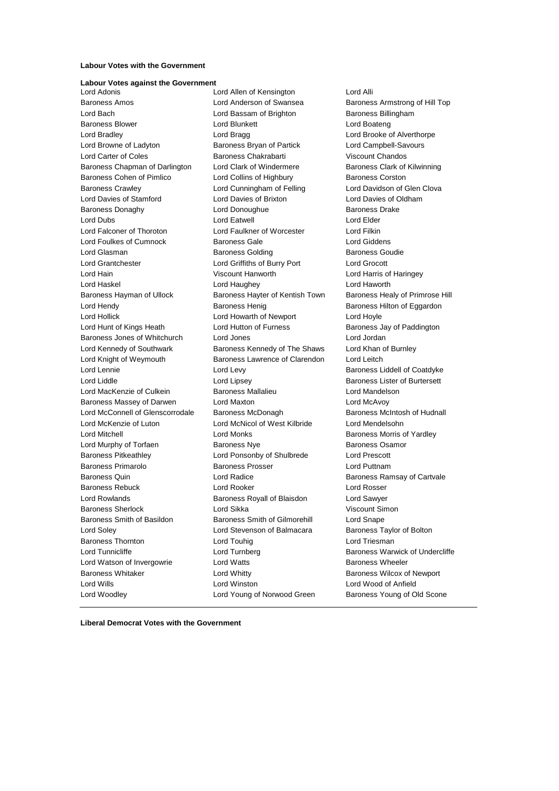### **Labour Votes with the Government**

## **Labour Votes against the Government**

Baroness Amos Lord Anderson of Swansea Baroness Armstrong of Hill Top Lord Bach **Lord Bassam of Brighton** Baroness Billingham Baroness Blower **Lord Blunkett** Lord Boateng Lord Boateng Lord Bradley Lord Bragg Lord Brooke of Alverthorpe Lord Browne of Ladyton Baroness Bryan of Partick Lord Campbell-Savours Lord Carter of Coles Baroness Chakrabarti Viscount Chandos Baroness Chapman of Darlington Lord Clark of Windermere Baroness Clark of Kilwinning Baroness Cohen of Pimlico **Lord Collins of Highbury** Baroness Corston Baroness Crawley **Lord Cunningham of Felling** Lord Davidson of Glen Clova Lord Davies of Stamford Lord Davies of Brixton Lord Davies of Oldham Baroness Donaghy **Baroness** Drake Lord Donoughue **Baroness** Drake Lord Dubs Lord Eatwell Lord Elder Lord Falconer of Thoroton Lord Faulkner of Worcester Lord Filkin Lord Foulkes of Cumnock Baroness Gale Lord Giddens Lord Glasman **Baroness Golding** Baroness Goudie Lord Grantchester Lord Griffiths of Burry Port Lord Grocott Lord Hain Viscount Hanworth Lord Harris of Haringey Lord Haskel Lord Haughey Lord Haworth Baroness Hayman of Ullock Baroness Hayter of Kentish Town Baroness Healy of Primrose Hill Lord Hendy Baroness Henig Baroness Hilton of Eggardon Lord Hollick Lord Howarth of Newport Lord Hoyle Lord Hunt of Kings Heath Lord Hutton of Furness **Baroness Jay of Paddington** Baroness Jones of Whitchurch Lord Jones Lord Jordan Lord Kennedy of Southwark Baroness Kennedy of The Shaws Lord Khan of Burnley Lord Knight of Weymouth Baroness Lawrence of Clarendon Lord Leitch Lord Lennie Lord Levy Baroness Liddell of Coatdyke Lord Liddle Lord Lipsey Baroness Lister of Burtersett Lord MacKenzie of Culkein Baroness Mallalieu Lord Mandelson Baroness Massey of Darwen Lord Maxton Lord McAvoy Lord McConnell of Glenscorrodale Baroness McDonagh Baroness McIntosh of Hudnall Lord McKenzie of Luton Lord McNicol of West Kilbride Lord Mendelsohn Lord Mitchell Lord Monks Baroness Morris of Yardley Lord Murphy of Torfaen **Baroness Nye** Baroness Osamor Baroness Pitkeathley Lord Ponsonby of Shulbrede Lord Prescott Baroness Primarolo Baroness Prosser Lord Puttnam Baroness Quin **Baroness Cuin** Lord Radice **Baroness Ramsay of Cartvale** Baroness Rebuck Lord Rooker Lord Rosser Lord Rowlands Baroness Royall of Blaisdon Lord Sawyer Baroness Sherlock Lord Sikka Viscount Simon Baroness Smith of Basildon Baroness Smith of Gilmorehill Lord Snape Lord Soley Lord Stevenson of Balmacara Baroness Taylor of Bolton **Baroness Thornton Lord Touhig Lord Triesman Lord Triesman** Lord Tunnicliffe Lord Turnberg Baroness Warwick of Undercliffe Lord Watson of Invergowrie Lord Watts Baroness Wheeler Baroness Whitaker **Lord Whitty Lord Whitty Baroness Wilcox of Newport** Lord Wills Lord Winston Lord Wood of Anfield Lord Woodley Lord Young of Norwood Green Baroness Young of Old Scone

Lord Allen of Kensington Lord Alli

**Liberal Democrat Votes with the Government**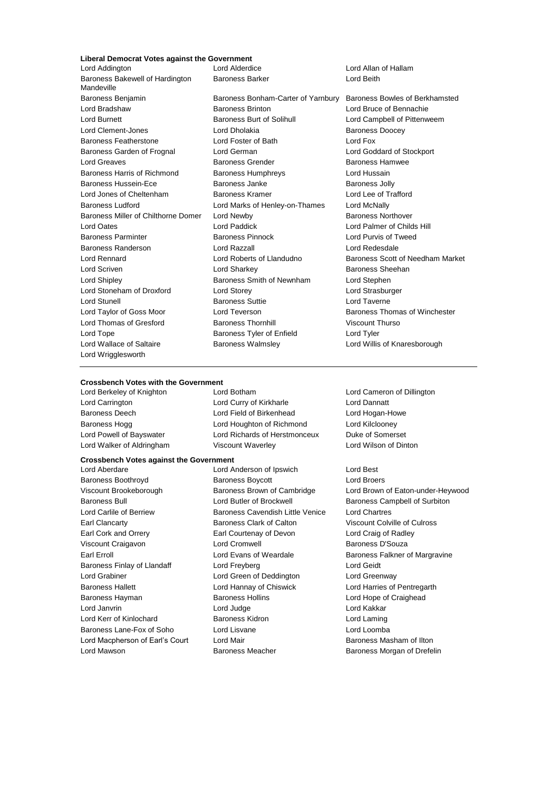## **Liberal Democrat Votes against the Government**

Lord Addington Lord Alderdice Lord Allan of Hallam Baroness Bakewell of Hardington Mandeville Baroness Benjamin **Baroness Bonham-Carter of Yarnbury** Baroness Bowles of Berkhamsted<br>Lord Bradshaw **Baroness Brinton** Lord Bruce of Bennachie Lord Wrigglesworth

Baroness Barker **Lord Beith** 

Lord Bradshaw Baroness Brinton Lord Bruce of Bennachie Lord Burnett **Baroness Burt of Solihull** Lord Campbell of Pittenweem Lord Clement-Jones **Lord Dholakia Lord Dholakia** Baroness Doocey Baroness Featherstone Lord Foster of Bath Lord Fox Baroness Garden of Frognal Lord German Lord Goddard of Stockport Lord Greaves Baroness Grender Baroness Hamwee Baroness Harris of Richmond Baroness Humphreys Cord Hussain Baroness Hussein-Ece **Baroness Janke** Baroness Janke **Baroness Jolly** Lord Jones of Cheltenham Baroness Kramer Lord Lee of Trafford Baroness Ludford Lord Marks of Henley-on-Thames Lord McNally Baroness Miller of Chilthorne Domer Lord Newby **Baroness Northover** Baroness Northover Lord Oates Lord Paddick Lord Palmer of Childs Hill Baroness Parminter Baroness Pinnock Lord Purvis of Tweed Baroness Randerson Lord Razzall Lord Redesdale Lord Scriven **Lord Sharkey Communist Communist Communist Communist Communist Communist Communist Communist Communist Communist Communist Communist Communist Communist Communist Communist Communist Communist Communist Com** Lord Shipley Baroness Smith of Newnham Lord Stephen Lord Stoneham of Droxford Lord Storey Lord Strasburger Lord Stunell **Baroness Suttie Lord Taverne** Lord Taylor of Goss Moor **Lord Teverson** Baroness Thomas of Winchester Lord Thomas of Gresford **Baroness Thornhill** Viscount Thurso Lord Tope **Baroness Tyler of Enfield** Lord Tyler Lord Wallace of Saltaire **Baroness Walmsley Lord Willis of Knaresborough** Cord Willis of Knaresborough

Lord Rennard Lord Roberts of Llandudno Baroness Scott of Needham Market

### **Crossbench Votes with the Government**

Lord Berkeley of Knighton Lord Botham Lord Cameron of Dillington Lord Walker of Aldringham Viscount Waverley Lord Wilson of Dinton

## **Crossbench Votes against the Government**

- 
- Lord Carrington Lord Curry of Kirkharle Lord Dannatt Baroness Deech Lord Field of Birkenhead Lord Hogan-Howe Baroness Hogg **Lord Houghton of Richmond** Lord Kilclooney Lord Powell of Bayswater Lord Richards of Herstmonceux Duke of Somerset

Lord Anderson of Ipswich Lord Best Baroness Boothroyd Baroness Boycott Lord Broers Baroness Bull Lord Butler of Brockwell Baroness Campbell of Surbiton Lord Carlile of Berriew Baroness Cavendish Little Venice Lord Chartres Earl Clancarty Baroness Clark of Calton Viscount Colville of Culross Earl Cork and Orrery Earl Courtenay of Devon Lord Craig of Radley Viscount Craigavon **Lord Cromwell** Lord Cromwell **Baroness D'Souza** Earl Erroll Lord Evans of Weardale Baroness Falkner of Margravine Baroness Finlay of Llandaff Lord Freyberg Contract Lord Geidt Lord Grabiner Lord Green of Deddington Lord Greenway Baroness Hallett **Lord Hannay of Chiswick** Lord Harries of Pentregarth Baroness Hayman **Baroness Hollins** Baroness Hollins **Lord Hope of Craighead** Lord Janvrin Lord Judge Lord Kakkar Lord Kerr of Kinlochard Baroness Kidron Lord Laming Baroness Lane-Fox of Soho Lord Lisvane Lord Loomba Lord Macpherson of Earl's Court Lord Mair **Baroness Masham of Ilton** Lord Mawson **Baroness Meacher Baroness Meacher** Baroness Morgan of Drefelin

Viscount Brookeborough Baroness Brown of Cambridge Lord Brown of Eaton-under-Heywood